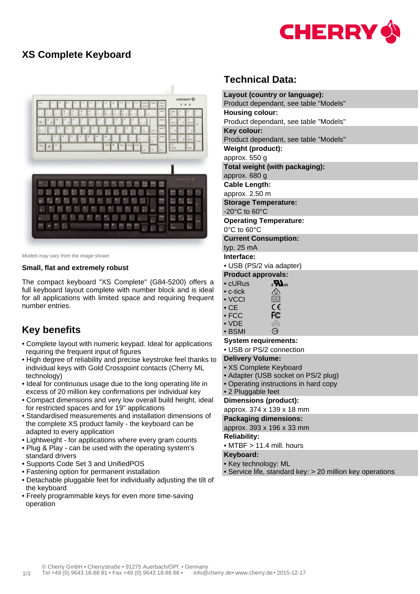

## **XS Complete Keyboard**



Models may vary from the image shown

#### **Small, flat and extremely robust**

The compact keyboard "XS Complete" (G84-5200) offers a full keyboard layout complete with number block and is ideal for all applications with limited space and requiring frequent number entries.

# **Key benefits**

- Complete layout with numeric keypad. Ideal for applications requiring the frequent input of figures
- High degree of reliability and precise keystroke feel thanks to individual keys with Gold Crosspoint contacts (Cherry ML technology)
- Ideal for continuous usage due to the long operating life in excess of 20 million key confirmations per individual key
- Compact dimensions and very low overall build height, ideal for restricted spaces and for 19" applications
- Standardised measurements and installation dimensions of the complete XS product family - the keyboard can be adapted to every application
- Lightweight for applications where every gram counts
- Plug & Play can be used with the operating system's standard drivers
- Supports Code Set 3 and UnifiedPOS
- Fastening option for permanent installation
- Detachable pluggable feet for individually adjusting the tilt of the keyboard
- Freely programmable keys for even more time-saving operation

## **Technical Data:**

| Layout (country or language):                           |
|---------------------------------------------------------|
| Product dependant, see table "Models"                   |
| <b>Housing colour:</b>                                  |
| Product dependant, see table "Models"                   |
| Key colour:                                             |
| Product dependant, see table "Models"                   |
| Weight (product):                                       |
| approx. 550 g                                           |
| Total weight (with packaging):                          |
| approx. 680 g                                           |
| <b>Cable Length:</b>                                    |
| approx. 2.50 m                                          |
| <b>Storage Temperature:</b>                             |
| $-20^{\circ}$ C to 60 $^{\circ}$ C                      |
| <b>Operating Temperature:</b>                           |
| $0^{\circ}$ C to 60 $^{\circ}$ C                        |
| <b>Current Consumption:</b>                             |
| typ. 25 mA                                              |
| Interface:                                              |
| • USB (PS/2 via adapter)                                |
| <b>Product approvals:</b>                               |
| $_{c}H_{\text{us}}$<br>$\bullet$ cURus $\qquad \bullet$ |
| <br>$\bullet$ c-tick                                    |

| <u>___</u> |
|------------|
| V(1)       |
| CE         |
| FC         |
|            |

• VDE  $\overline{\mathbb{C}}$ • BSMI  $\ominus$ 

#### **System requirements:**

• USB or PS/2 connection

### **Delivery Volume:**

- XS Complete Keyboard
- Adapter (USB socket on PS/2 plug)
- Operating instructions in hard copy
- 2 Pluggable feet

#### **Dimensions (product):**

approx. 374 x 139 x 18 mm

### **Packaging dimensions:**

approx. 393 x 196 x 33 mm

#### **Reliability:**

• MTBF > 11.4 mill. hours

#### **Keyboard:**

- Key technology: ML
- Service life, standard key: > 20 million key operations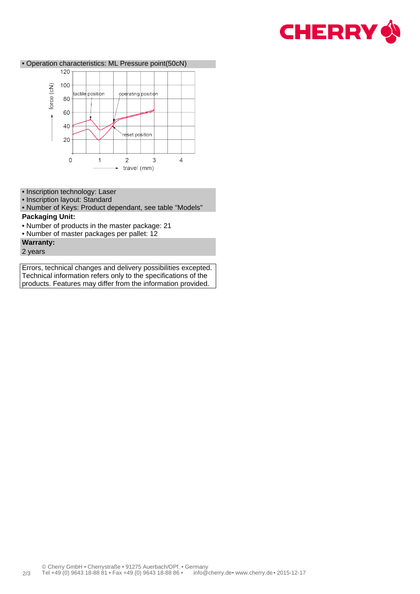



- Inscription technology: Laser
- Inscription layout: Standard

• Number of Keys: Product dependant, see table "Models"

## **Packaging Unit:**

- Number of products in the master package: 21
- Number of master packages per pallet: 12
- **Warranty:**
- 2 years

Errors, technical changes and delivery possibilities excepted. Technical information refers only to the specifications of the products. Features may differ from the information provided.